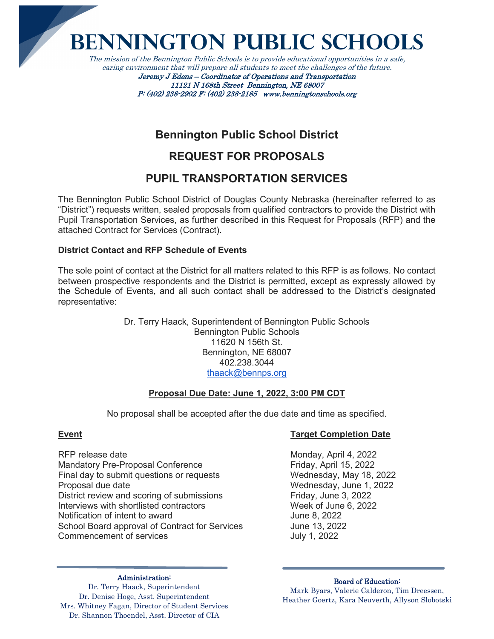**Bennington Public Schools**

The mission of the Bennington Public Schools is to provide educational opportunities in a safe, caring environment that will prepare all students to meet the challenges of the future. Jeremy J Edens – Coordinator of Operations and Transportation

11121 N 168th Street Bennington, NE 68007 P: (402) 238-2902 F: (402) 238-2185 www.benningtonschools.org

# **Bennington Public School District**

# **REQUEST FOR PROPOSALS**

# **PUPIL TRANSPORTATION SERVICES**

The Bennington Public School District of Douglas County Nebraska (hereinafter referred to as "District") requests written, sealed proposals from qualified contractors to provide the District with Pupil Transportation Services, as further described in this Request for Proposals (RFP) and the attached Contract for Services (Contract).

# **District Contact and RFP Schedule of Events**

The sole point of contact at the District for all matters related to this RFP is as follows. No contact between prospective respondents and the District is permitted, except as expressly allowed by the Schedule of Events, and all such contact shall be addressed to the District's designated representative:

> Dr. Terry Haack, Superintendent of Bennington Public Schools Bennington Public Schools 11620 N 156th St. Bennington, NE 68007 402.238.3044 [thaack@bennps.org](mailto:thaack@bennps.org)

### **Proposal Due Date: June 1, 2022, 3:00 PM CDT**

No proposal shall be accepted after the due date and time as specified.

RFP release date Monday, April 4, 2022 Mandatory Pre-Proposal Conference Friday, April 15, 2022 Final day to submit questions or requests Wednesday, May 18, 2022 Proposal due date Wednesday, June 1, 2022 District review and scoring of submissions Friday, June 3, 2022<br>Interviews with shortlisted contractors Week of June 6, 2022 Interviews with shortlisted contractors Week of June<br>
Notification of intent to award<br>
Uune 8, 2022 Notification of intent to award School Board approval of Contract for Services June 13, 2022 Commencement of services July 1, 2022

# **Event Target Completion Date**

#### Administration:

Dr. Terry Haack, Superintendent Dr. Denise Hoge, Asst. Superintendent Mrs. Whitney Fagan, Director of Student Services Dr. Shannon Thoendel, Asst. Director of CIA

#### Board of Education: Mark Byars, Valerie Calderon, Tim Dreessen, Heather Goertz, Kara Neuverth, Allyson Slobotski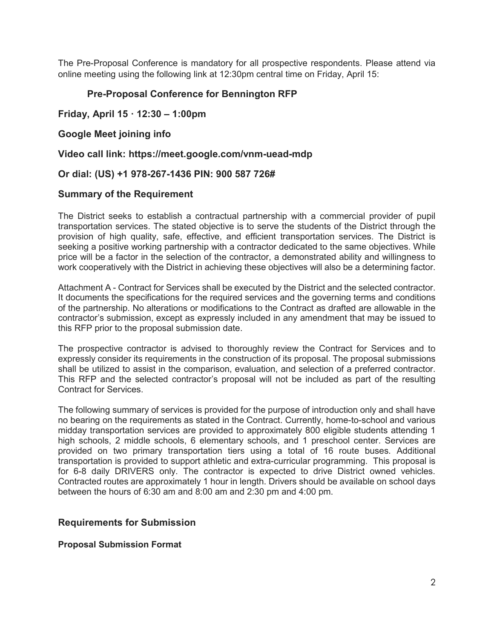The Pre-Proposal Conference is mandatory for all prospective respondents. Please attend via online meeting using the following link at 12:30pm central time on Friday, April 15:

# **Pre-Proposal Conference for Bennington RFP**

## **Friday, April 15 · 12:30 – 1:00pm**

## **Google Meet joining info**

**Video call link: https://meet.google.com/vnm-uead-mdp**

### **Or dial: (US) +1 978-267-1436 PIN: 900 587 726#**

#### **Summary of the Requirement**

The District seeks to establish a contractual partnership with a commercial provider of pupil transportation services. The stated objective is to serve the students of the District through the provision of high quality, safe, effective, and efficient transportation services. The District is seeking a positive working partnership with a contractor dedicated to the same objectives. While price will be a factor in the selection of the contractor, a demonstrated ability and willingness to work cooperatively with the District in achieving these objectives will also be a determining factor.

Attachment A - Contract for Services shall be executed by the District and the selected contractor. It documents the specifications for the required services and the governing terms and conditions of the partnership. No alterations or modifications to the Contract as drafted are allowable in the contractor's submission, except as expressly included in any amendment that may be issued to this RFP prior to the proposal submission date.

The prospective contractor is advised to thoroughly review the Contract for Services and to expressly consider its requirements in the construction of its proposal. The proposal submissions shall be utilized to assist in the comparison, evaluation, and selection of a preferred contractor. This RFP and the selected contractor's proposal will not be included as part of the resulting Contract for Services.

The following summary of services is provided for the purpose of introduction only and shall have no bearing on the requirements as stated in the Contract. Currently, home-to-school and various midday transportation services are provided to approximately 800 eligible students attending 1 high schools, 2 middle schools, 6 elementary schools, and 1 preschool center. Services are provided on two primary transportation tiers using a total of 16 route buses. Additional transportation is provided to support athletic and extra-curricular programming. This proposal is for 6-8 daily DRIVERS only. The contractor is expected to drive District owned vehicles. Contracted routes are approximately 1 hour in length. Drivers should be available on school days between the hours of 6:30 am and 8:00 am and 2:30 pm and 4:00 pm.

### **Requirements for Submission**

#### **Proposal Submission Format**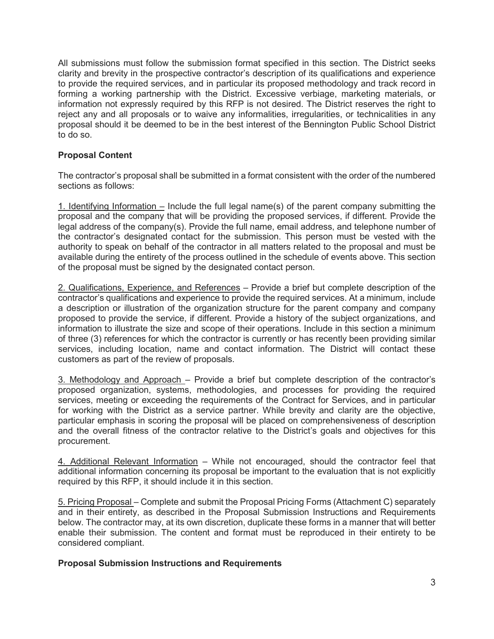All submissions must follow the submission format specified in this section. The District seeks clarity and brevity in the prospective contractor's description of its qualifications and experience to provide the required services, and in particular its proposed methodology and track record in forming a working partnership with the District. Excessive verbiage, marketing materials, or information not expressly required by this RFP is not desired. The District reserves the right to reject any and all proposals or to waive any informalities, irregularities, or technicalities in any proposal should it be deemed to be in the best interest of the Bennington Public School District to do so.

# **Proposal Content**

The contractor's proposal shall be submitted in a format consistent with the order of the numbered sections as follows:

1. Identifying Information  $-$  Include the full legal name(s) of the parent company submitting the proposal and the company that will be providing the proposed services, if different. Provide the legal address of the company(s). Provide the full name, email address, and telephone number of the contractor's designated contact for the submission. This person must be vested with the authority to speak on behalf of the contractor in all matters related to the proposal and must be available during the entirety of the process outlined in the schedule of events above. This section of the proposal must be signed by the designated contact person.

2. Qualifications, Experience, and References – Provide a brief but complete description of the contractor's qualifications and experience to provide the required services. At a minimum, include a description or illustration of the organization structure for the parent company and company proposed to provide the service, if different. Provide a history of the subject organizations, and information to illustrate the size and scope of their operations. Include in this section a minimum of three (3) references for which the contractor is currently or has recently been providing similar services, including location, name and contact information. The District will contact these customers as part of the review of proposals.

3. Methodology and Approach – Provide a brief but complete description of the contractor's proposed organization, systems, methodologies, and processes for providing the required services, meeting or exceeding the requirements of the Contract for Services, and in particular for working with the District as a service partner. While brevity and clarity are the objective, particular emphasis in scoring the proposal will be placed on comprehensiveness of description and the overall fitness of the contractor relative to the District's goals and objectives for this procurement.

4. Additional Relevant Information – While not encouraged, should the contractor feel that additional information concerning its proposal be important to the evaluation that is not explicitly required by this RFP, it should include it in this section.

5. Pricing Proposal – Complete and submit the Proposal Pricing Forms (Attachment C) separately and in their entirety, as described in the Proposal Submission Instructions and Requirements below. The contractor may, at its own discretion, duplicate these forms in a manner that will better enable their submission. The content and format must be reproduced in their entirety to be considered compliant.

### **Proposal Submission Instructions and Requirements**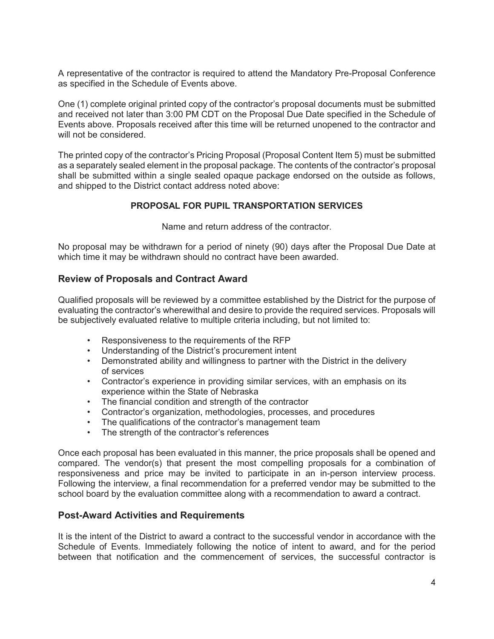A representative of the contractor is required to attend the Mandatory Pre-Proposal Conference as specified in the Schedule of Events above.

One (1) complete original printed copy of the contractor's proposal documents must be submitted and received not later than 3:00 PM CDT on the Proposal Due Date specified in the Schedule of Events above. Proposals received after this time will be returned unopened to the contractor and will not be considered.

The printed copy of the contractor's Pricing Proposal (Proposal Content Item 5) must be submitted as a separately sealed element in the proposal package. The contents of the contractor's proposal shall be submitted within a single sealed opaque package endorsed on the outside as follows, and shipped to the District contact address noted above:

# **PROPOSAL FOR PUPIL TRANSPORTATION SERVICES**

Name and return address of the contractor.

No proposal may be withdrawn for a period of ninety (90) days after the Proposal Due Date at which time it may be withdrawn should no contract have been awarded.

# **Review of Proposals and Contract Award**

Qualified proposals will be reviewed by a committee established by the District for the purpose of evaluating the contractor's wherewithal and desire to provide the required services. Proposals will be subjectively evaluated relative to multiple criteria including, but not limited to:

- Responsiveness to the requirements of the RFP
- Understanding of the District's procurement intent
- Demonstrated ability and willingness to partner with the District in the delivery of services
- Contractor's experience in providing similar services, with an emphasis on its experience within the State of Nebraska
- The financial condition and strength of the contractor
- Contractor's organization, methodologies, processes, and procedures
- The qualifications of the contractor's management team
- The strength of the contractor's references

Once each proposal has been evaluated in this manner, the price proposals shall be opened and compared. The vendor(s) that present the most compelling proposals for a combination of responsiveness and price may be invited to participate in an in-person interview process. Following the interview, a final recommendation for a preferred vendor may be submitted to the school board by the evaluation committee along with a recommendation to award a contract.

# **Post-Award Activities and Requirements**

It is the intent of the District to award a contract to the successful vendor in accordance with the Schedule of Events. Immediately following the notice of intent to award, and for the period between that notification and the commencement of services, the successful contractor is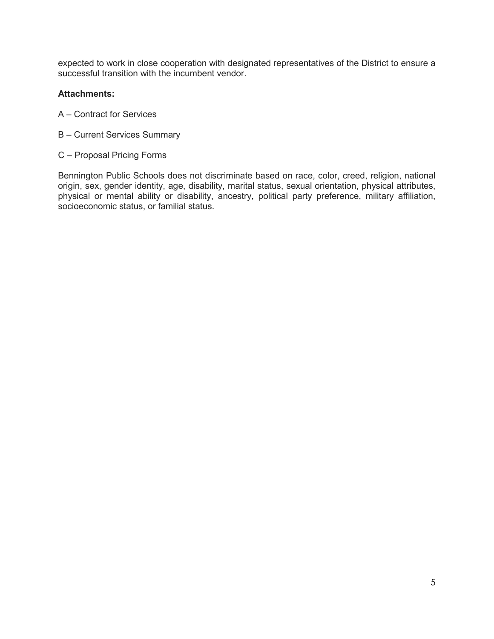expected to work in close cooperation with designated representatives of the District to ensure a successful transition with the incumbent vendor.

## **Attachments:**

- A Contract for Services
- B Current Services Summary
- C Proposal Pricing Forms

Bennington Public Schools does not discriminate based on race, color, creed, religion, national origin, sex, gender identity, age, disability, marital status, sexual orientation, physical attributes, physical or mental ability or disability, ancestry, political party preference, military affiliation, socioeconomic status, or familial status.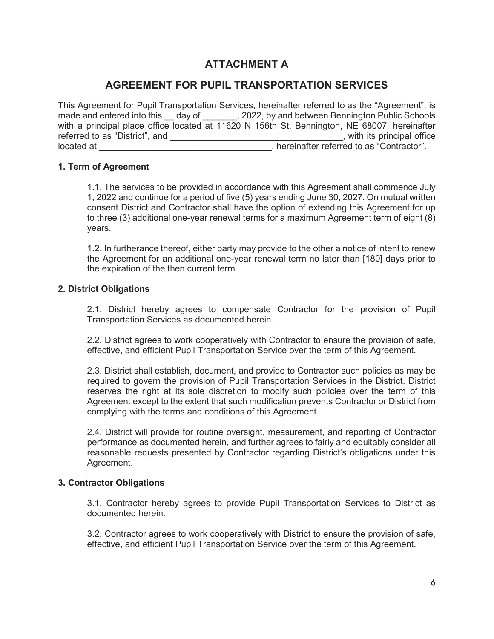# **ATTACHMENT A**

# **AGREEMENT FOR PUPIL TRANSPORTATION SERVICES**

This Agreement for Pupil Transportation Services, hereinafter referred to as the "Agreement", is made and entered into this day of ... 2022, by and between Bennington Public Schools with a principal place office located at 11620 N 156th St. Bennington, NE 68007, hereinafter referred to as "District", and \_\_\_\_\_\_\_\_\_\_\_\_\_\_\_\_\_\_\_\_\_\_\_\_\_\_\_\_\_\_\_\_\_\_\_, with its principal office located at  $\blacksquare$ 

### **1. Term of Agreement**

1.1. The services to be provided in accordance with this Agreement shall commence July 1, 2022 and continue for a period of five (5) years ending June 30, 2027. On mutual written consent District and Contractor shall have the option of extending this Agreement for up to three (3) additional one-year renewal terms for a maximum Agreement term of eight (8) years.

1.2. In furtherance thereof, either party may provide to the other a notice of intent to renew the Agreement for an additional one-year renewal term no later than [180] days prior to the expiration of the then current term.

#### **2. District Obligations**

2.1. District hereby agrees to compensate Contractor for the provision of Pupil Transportation Services as documented herein.

2.2. District agrees to work cooperatively with Contractor to ensure the provision of safe, effective, and efficient Pupil Transportation Service over the term of this Agreement.

2.3. District shall establish, document, and provide to Contractor such policies as may be required to govern the provision of Pupil Transportation Services in the District. District reserves the right at its sole discretion to modify such policies over the term of this Agreement except to the extent that such modification prevents Contractor or District from complying with the terms and conditions of this Agreement.

2.4. District will provide for routine oversight, measurement, and reporting of Contractor performance as documented herein, and further agrees to fairly and equitably consider all reasonable requests presented by Contractor regarding District's obligations under this Agreement.

#### **3. Contractor Obligations**

3.1. Contractor hereby agrees to provide Pupil Transportation Services to District as documented herein.

3.2. Contractor agrees to work cooperatively with District to ensure the provision of safe, effective, and efficient Pupil Transportation Service over the term of this Agreement.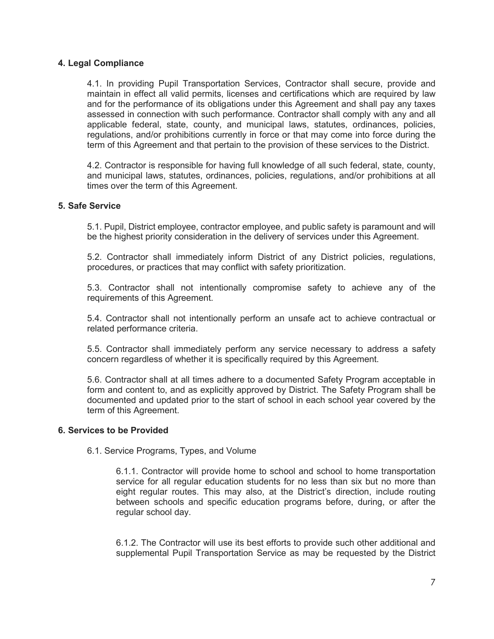#### **4. Legal Compliance**

4.1. In providing Pupil Transportation Services, Contractor shall secure, provide and maintain in effect all valid permits, licenses and certifications which are required by law and for the performance of its obligations under this Agreement and shall pay any taxes assessed in connection with such performance. Contractor shall comply with any and all applicable federal, state, county, and municipal laws, statutes, ordinances, policies, regulations, and/or prohibitions currently in force or that may come into force during the term of this Agreement and that pertain to the provision of these services to the District.

4.2. Contractor is responsible for having full knowledge of all such federal, state, county, and municipal laws, statutes, ordinances, policies, regulations, and/or prohibitions at all times over the term of this Agreement.

#### **5. Safe Service**

5.1. Pupil, District employee, contractor employee, and public safety is paramount and will be the highest priority consideration in the delivery of services under this Agreement.

5.2. Contractor shall immediately inform District of any District policies, regulations, procedures, or practices that may conflict with safety prioritization.

5.3. Contractor shall not intentionally compromise safety to achieve any of the requirements of this Agreement.

5.4. Contractor shall not intentionally perform an unsafe act to achieve contractual or related performance criteria.

5.5. Contractor shall immediately perform any service necessary to address a safety concern regardless of whether it is specifically required by this Agreement.

5.6. Contractor shall at all times adhere to a documented Safety Program acceptable in form and content to, and as explicitly approved by District. The Safety Program shall be documented and updated prior to the start of school in each school year covered by the term of this Agreement.

#### **6. Services to be Provided**

6.1. Service Programs, Types, and Volume

6.1.1. Contractor will provide home to school and school to home transportation service for all regular education students for no less than six but no more than eight regular routes. This may also, at the District's direction, include routing between schools and specific education programs before, during, or after the regular school day.

6.1.2. The Contractor will use its best efforts to provide such other additional and supplemental Pupil Transportation Service as may be requested by the District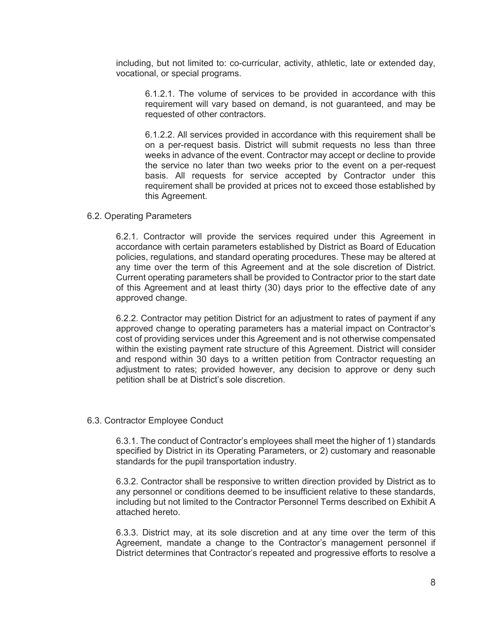including, but not limited to: co-curricular, activity, athletic, late or extended day, vocational, or special programs.

6.1.2.1. The volume of services to be provided in accordance with this requirement will vary based on demand, is not guaranteed, and may be requested of other contractors.

6.1.2.2. All services provided in accordance with this requirement shall be on a per-request basis. District will submit requests no less than three weeks in advance of the event. Contractor may accept or decline to provide the service no later than two weeks prior to the event on a per-request basis. All requests for service accepted by Contractor under this requirement shall be provided at prices not to exceed those established by this Agreement.

#### 6.2. Operating Parameters

6.2.1. Contractor will provide the services required under this Agreement in accordance with certain parameters established by District as Board of Education policies, regulations, and standard operating procedures. These may be altered at any time over the term of this Agreement and at the sole discretion of District. Current operating parameters shall be provided to Contractor prior to the start date of this Agreement and at least thirty (30) days prior to the effective date of any approved change.

6.2.2. Contractor may petition District for an adjustment to rates of payment if any approved change to operating parameters has a material impact on Contractor's cost of providing services under this Agreement and is not otherwise compensated within the existing payment rate structure of this Agreement. District will consider and respond within 30 days to a written petition from Contractor requesting an adjustment to rates; provided however, any decision to approve or deny such petition shall be at District's sole discretion.

#### 6.3. Contractor Employee Conduct

6.3.1. The conduct of Contractor's employees shall meet the higher of 1) standards specified by District in its Operating Parameters, or 2) customary and reasonable standards for the pupil transportation industry.

6.3.2. Contractor shall be responsive to written direction provided by District as to any personnel or conditions deemed to be insufficient relative to these standards, including but not limited to the Contractor Personnel Terms described on Exhibit A attached hereto.

6.3.3. District may, at its sole discretion and at any time over the term of this Agreement, mandate a change to the Contractor's management personnel if District determines that Contractor's repeated and progressive efforts to resolve a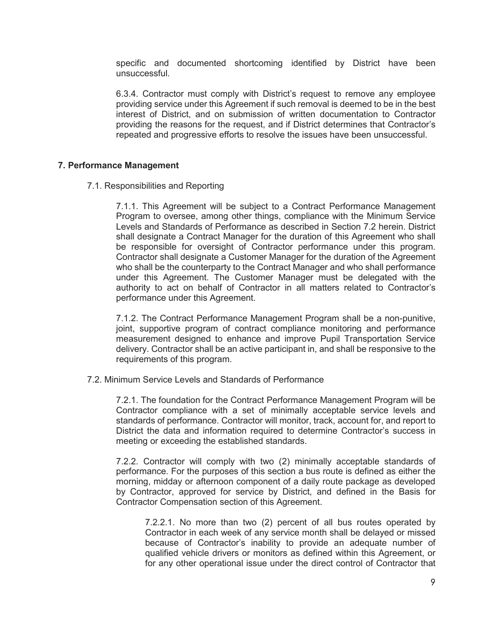specific and documented shortcoming identified by District have been unsuccessful.

6.3.4. Contractor must comply with District's request to remove any employee providing service under this Agreement if such removal is deemed to be in the best interest of District, and on submission of written documentation to Contractor providing the reasons for the request, and if District determines that Contractor's repeated and progressive efforts to resolve the issues have been unsuccessful.

#### **7. Performance Management**

7.1. Responsibilities and Reporting

7.1.1. This Agreement will be subject to a Contract Performance Management Program to oversee, among other things, compliance with the Minimum Service Levels and Standards of Performance as described in Section 7.2 herein. District shall designate a Contract Manager for the duration of this Agreement who shall be responsible for oversight of Contractor performance under this program. Contractor shall designate a Customer Manager for the duration of the Agreement who shall be the counterparty to the Contract Manager and who shall performance under this Agreement. The Customer Manager must be delegated with the authority to act on behalf of Contractor in all matters related to Contractor's performance under this Agreement.

7.1.2. The Contract Performance Management Program shall be a non-punitive, joint, supportive program of contract compliance monitoring and performance measurement designed to enhance and improve Pupil Transportation Service delivery. Contractor shall be an active participant in, and shall be responsive to the requirements of this program.

7.2. Minimum Service Levels and Standards of Performance

7.2.1. The foundation for the Contract Performance Management Program will be Contractor compliance with a set of minimally acceptable service levels and standards of performance. Contractor will monitor, track, account for, and report to District the data and information required to determine Contractor's success in meeting or exceeding the established standards.

7.2.2. Contractor will comply with two (2) minimally acceptable standards of performance. For the purposes of this section a bus route is defined as either the morning, midday or afternoon component of a daily route package as developed by Contractor, approved for service by District, and defined in the Basis for Contractor Compensation section of this Agreement.

7.2.2.1. No more than two (2) percent of all bus routes operated by Contractor in each week of any service month shall be delayed or missed because of Contractor's inability to provide an adequate number of qualified vehicle drivers or monitors as defined within this Agreement, or for any other operational issue under the direct control of Contractor that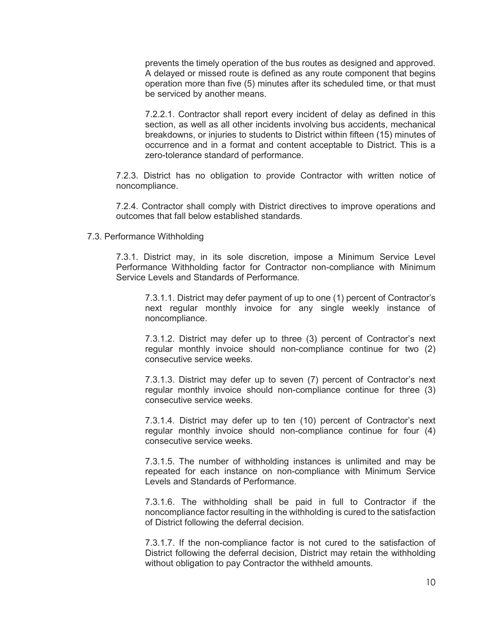prevents the timely operation of the bus routes as designed and approved. A delayed or missed route is defined as any route component that begins operation more than five (5) minutes after its scheduled time, or that must be serviced by another means.

7.2.2.1. Contractor shall report every incident of delay as defined in this section, as well as all other incidents involving bus accidents, mechanical breakdowns, or injuries to students to District within fifteen (15) minutes of occurrence and in a format and content acceptable to District. This is a zero-tolerance standard of performance.

7.2.3. District has no obligation to provide Contractor with written notice of noncompliance.

7.2.4. Contractor shall comply with District directives to improve operations and outcomes that fall below established standards.

#### 7.3. Performance Withholding

7.3.1. District may, in its sole discretion, impose a Minimum Service Level Performance Withholding factor for Contractor non-compliance with Minimum Service Levels and Standards of Performance.

7.3.1.1. District may defer payment of up to one (1) percent of Contractor's next regular monthly invoice for any single weekly instance of noncompliance.

7.3.1.2. District may defer up to three (3) percent of Contractor's next regular monthly invoice should non-compliance continue for two (2) consecutive service weeks.

7.3.1.3. District may defer up to seven (7) percent of Contractor's next regular monthly invoice should non-compliance continue for three (3) consecutive service weeks.

7.3.1.4. District may defer up to ten (10) percent of Contractor's next regular monthly invoice should non-compliance continue for four (4) consecutive service weeks.

7.3.1.5. The number of withholding instances is unlimited and may be repeated for each instance on non-compliance with Minimum Service Levels and Standards of Performance.

7.3.1.6. The withholding shall be paid in full to Contractor if the noncompliance factor resulting in the withholding is cured to the satisfaction of District following the deferral decision.

7.3.1.7. If the non-compliance factor is not cured to the satisfaction of District following the deferral decision, District may retain the withholding without obligation to pay Contractor the withheld amounts.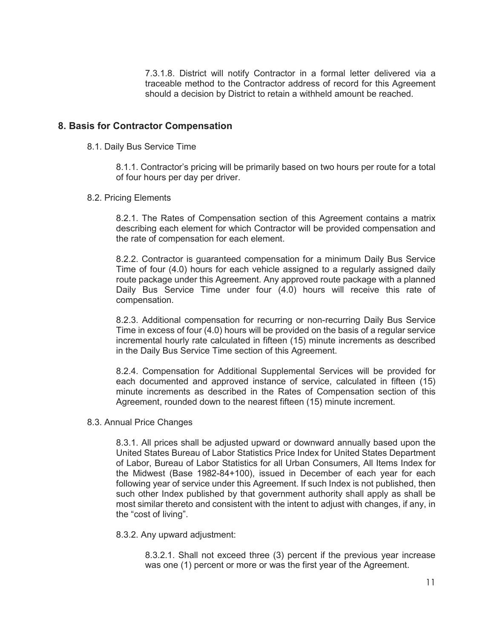7.3.1.8. District will notify Contractor in a formal letter delivered via a traceable method to the Contractor address of record for this Agreement should a decision by District to retain a withheld amount be reached.

### **8. Basis for Contractor Compensation**

8.1. Daily Bus Service Time

8.1.1. Contractor's pricing will be primarily based on two hours per route for a total of four hours per day per driver.

8.2. Pricing Elements

8.2.1. The Rates of Compensation section of this Agreement contains a matrix describing each element for which Contractor will be provided compensation and the rate of compensation for each element.

8.2.2. Contractor is guaranteed compensation for a minimum Daily Bus Service Time of four (4.0) hours for each vehicle assigned to a regularly assigned daily route package under this Agreement. Any approved route package with a planned Daily Bus Service Time under four (4.0) hours will receive this rate of compensation.

8.2.3. Additional compensation for recurring or non-recurring Daily Bus Service Time in excess of four (4.0) hours will be provided on the basis of a regular service incremental hourly rate calculated in fifteen (15) minute increments as described in the Daily Bus Service Time section of this Agreement.

8.2.4. Compensation for Additional Supplemental Services will be provided for each documented and approved instance of service, calculated in fifteen (15) minute increments as described in the Rates of Compensation section of this Agreement, rounded down to the nearest fifteen (15) minute increment.

8.3. Annual Price Changes

8.3.1. All prices shall be adjusted upward or downward annually based upon the United States Bureau of Labor Statistics Price Index for United States Department of Labor, Bureau of Labor Statistics for all Urban Consumers, All Items Index for the Midwest (Base 1982-84+100), issued in December of each year for each following year of service under this Agreement. If such Index is not published, then such other Index published by that government authority shall apply as shall be most similar thereto and consistent with the intent to adjust with changes, if any, in the "cost of living".

8.3.2. Any upward adjustment:

8.3.2.1. Shall not exceed three (3) percent if the previous year increase was one (1) percent or more or was the first year of the Agreement.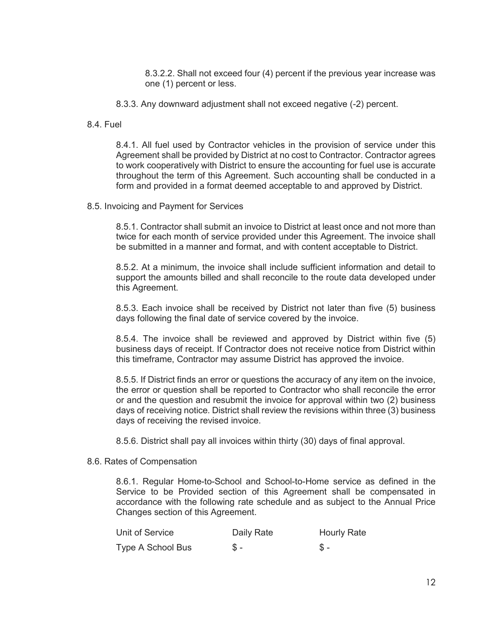8.3.2.2. Shall not exceed four (4) percent if the previous year increase was one (1) percent or less.

- 8.3.3. Any downward adjustment shall not exceed negative (-2) percent.
- 8.4. Fuel

8.4.1. All fuel used by Contractor vehicles in the provision of service under this Agreement shall be provided by District at no cost to Contractor. Contractor agrees to work cooperatively with District to ensure the accounting for fuel use is accurate throughout the term of this Agreement. Such accounting shall be conducted in a form and provided in a format deemed acceptable to and approved by District.

8.5. Invoicing and Payment for Services

8.5.1. Contractor shall submit an invoice to District at least once and not more than twice for each month of service provided under this Agreement. The invoice shall be submitted in a manner and format, and with content acceptable to District.

8.5.2. At a minimum, the invoice shall include sufficient information and detail to support the amounts billed and shall reconcile to the route data developed under this Agreement.

8.5.3. Each invoice shall be received by District not later than five (5) business days following the final date of service covered by the invoice.

8.5.4. The invoice shall be reviewed and approved by District within five (5) business days of receipt. If Contractor does not receive notice from District within this timeframe, Contractor may assume District has approved the invoice.

8.5.5. If District finds an error or questions the accuracy of any item on the invoice, the error or question shall be reported to Contractor who shall reconcile the error or and the question and resubmit the invoice for approval within two (2) business days of receiving notice. District shall review the revisions within three (3) business days of receiving the revised invoice.

8.5.6. District shall pay all invoices within thirty (30) days of final approval.

8.6. Rates of Compensation

8.6.1. Regular Home-to-School and School-to-Home service as defined in the Service to be Provided section of this Agreement shall be compensated in accordance with the following rate schedule and as subject to the Annual Price Changes section of this Agreement.

| Unit of Service   | Daily Rate | <b>Hourly Rate</b> |
|-------------------|------------|--------------------|
| Type A School Bus | $S -$      | $S -$              |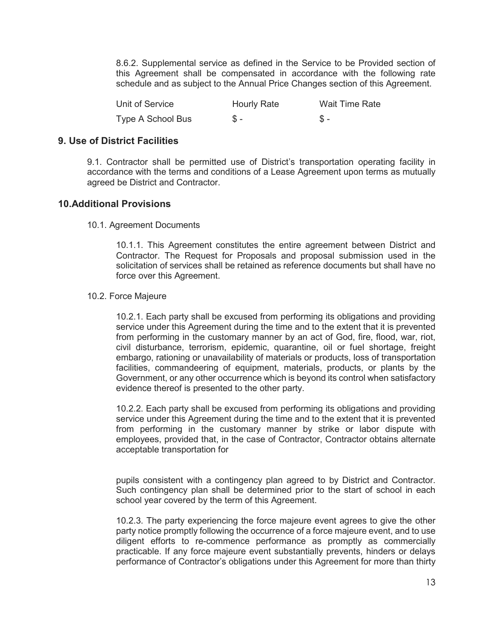8.6.2. Supplemental service as defined in the Service to be Provided section of this Agreement shall be compensated in accordance with the following rate schedule and as subject to the Annual Price Changes section of this Agreement.

| Unit of Service   | <b>Hourly Rate</b> | Wait Time Rate |
|-------------------|--------------------|----------------|
| Type A School Bus | \$ -               |                |

### **9. Use of District Facilities**

9.1. Contractor shall be permitted use of District's transportation operating facility in accordance with the terms and conditions of a Lease Agreement upon terms as mutually agreed be District and Contractor.

# **10.Additional Provisions**

10.1. Agreement Documents

10.1.1. This Agreement constitutes the entire agreement between District and Contractor. The Request for Proposals and proposal submission used in the solicitation of services shall be retained as reference documents but shall have no force over this Agreement.

#### 10.2. Force Majeure

10.2.1. Each party shall be excused from performing its obligations and providing service under this Agreement during the time and to the extent that it is prevented from performing in the customary manner by an act of God, fire, flood, war, riot, civil disturbance, terrorism, epidemic, quarantine, oil or fuel shortage, freight embargo, rationing or unavailability of materials or products, loss of transportation facilities, commandeering of equipment, materials, products, or plants by the Government, or any other occurrence which is beyond its control when satisfactory evidence thereof is presented to the other party.

10.2.2. Each party shall be excused from performing its obligations and providing service under this Agreement during the time and to the extent that it is prevented from performing in the customary manner by strike or labor dispute with employees, provided that, in the case of Contractor, Contractor obtains alternate acceptable transportation for

pupils consistent with a contingency plan agreed to by District and Contractor. Such contingency plan shall be determined prior to the start of school in each school year covered by the term of this Agreement.

10.2.3. The party experiencing the force majeure event agrees to give the other party notice promptly following the occurrence of a force majeure event, and to use diligent efforts to re-commence performance as promptly as commercially practicable. If any force majeure event substantially prevents, hinders or delays performance of Contractor's obligations under this Agreement for more than thirty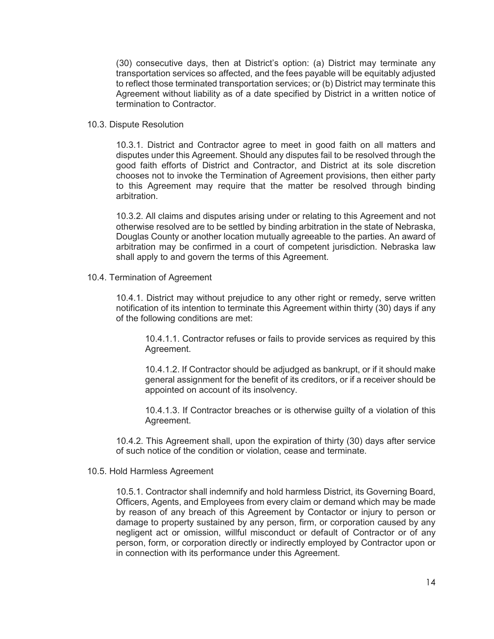(30) consecutive days, then at District's option: (a) District may terminate any transportation services so affected, and the fees payable will be equitably adjusted to reflect those terminated transportation services; or (b) District may terminate this Agreement without liability as of a date specified by District in a written notice of termination to Contractor.

#### 10.3. Dispute Resolution

10.3.1. District and Contractor agree to meet in good faith on all matters and disputes under this Agreement. Should any disputes fail to be resolved through the good faith efforts of District and Contractor, and District at its sole discretion chooses not to invoke the Termination of Agreement provisions, then either party to this Agreement may require that the matter be resolved through binding arbitration.

10.3.2. All claims and disputes arising under or relating to this Agreement and not otherwise resolved are to be settled by binding arbitration in the state of Nebraska, Douglas County or another location mutually agreeable to the parties. An award of arbitration may be confirmed in a court of competent jurisdiction. Nebraska law shall apply to and govern the terms of this Agreement.

10.4. Termination of Agreement

10.4.1. District may without prejudice to any other right or remedy, serve written notification of its intention to terminate this Agreement within thirty (30) days if any of the following conditions are met:

10.4.1.1. Contractor refuses or fails to provide services as required by this Agreement.

10.4.1.2. If Contractor should be adjudged as bankrupt, or if it should make general assignment for the benefit of its creditors, or if a receiver should be appointed on account of its insolvency.

10.4.1.3. If Contractor breaches or is otherwise guilty of a violation of this Agreement.

10.4.2. This Agreement shall, upon the expiration of thirty (30) days after service of such notice of the condition or violation, cease and terminate.

#### 10.5. Hold Harmless Agreement

10.5.1. Contractor shall indemnify and hold harmless District, its Governing Board, Officers, Agents, and Employees from every claim or demand which may be made by reason of any breach of this Agreement by Contactor or injury to person or damage to property sustained by any person, firm, or corporation caused by any negligent act or omission, willful misconduct or default of Contractor or of any person, form, or corporation directly or indirectly employed by Contractor upon or in connection with its performance under this Agreement.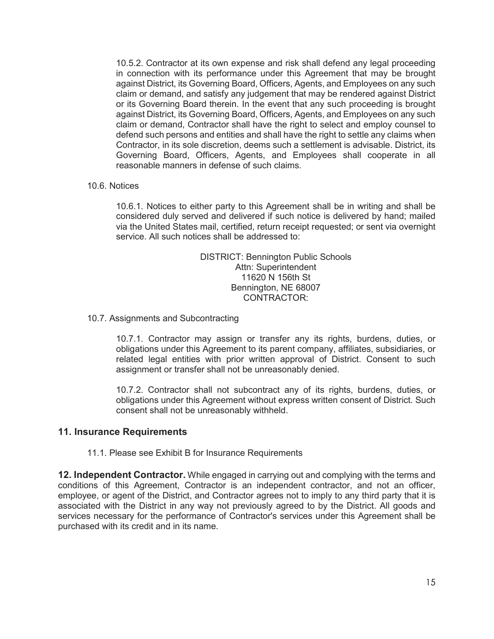10.5.2. Contractor at its own expense and risk shall defend any legal proceeding in connection with its performance under this Agreement that may be brought against District, its Governing Board, Officers, Agents, and Employees on any such claim or demand, and satisfy any judgement that may be rendered against District or its Governing Board therein. In the event that any such proceeding is brought against District, its Governing Board, Officers, Agents, and Employees on any such claim or demand, Contractor shall have the right to select and employ counsel to defend such persons and entities and shall have the right to settle any claims when Contractor, in its sole discretion, deems such a settlement is advisable. District, its Governing Board, Officers, Agents, and Employees shall cooperate in all reasonable manners in defense of such claims.

#### 10.6. Notices

10.6.1. Notices to either party to this Agreement shall be in writing and shall be considered duly served and delivered if such notice is delivered by hand; mailed via the United States mail, certified, return receipt requested; or sent via overnight service. All such notices shall be addressed to:

> DISTRICT: Bennington Public Schools Attn: Superintendent 11620 N 156th St Bennington, NE 68007 CONTRACTOR:

#### 10.7. Assignments and Subcontracting

10.7.1. Contractor may assign or transfer any its rights, burdens, duties, or obligations under this Agreement to its parent company, affiliates, subsidiaries, or related legal entities with prior written approval of District. Consent to such assignment or transfer shall not be unreasonably denied.

10.7.2. Contractor shall not subcontract any of its rights, burdens, duties, or obligations under this Agreement without express written consent of District. Such consent shall not be unreasonably withheld.

### **11. Insurance Requirements**

11.1. Please see Exhibit B for Insurance Requirements

**12. Independent Contractor.** While engaged in carrying out and complying with the terms and conditions of this Agreement, Contractor is an independent contractor, and not an officer, employee, or agent of the District, and Contractor agrees not to imply to any third party that it is associated with the District in any way not previously agreed to by the District. All goods and services necessary for the performance of Contractor's services under this Agreement shall be purchased with its credit and in its name.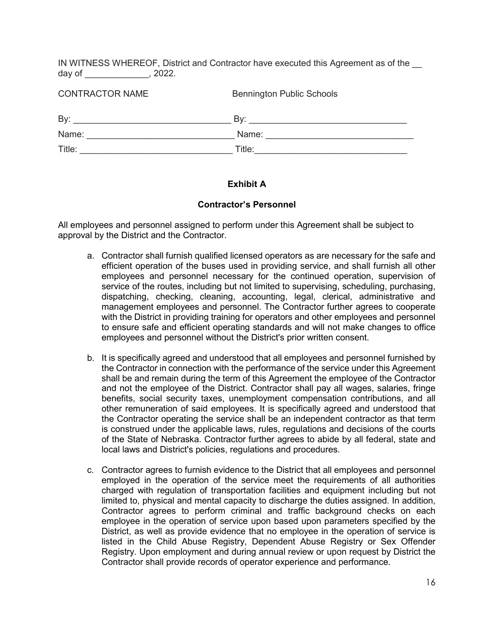IN WITNESS WHEREOF, District and Contractor have executed this Agreement as of the day of \_\_\_\_\_\_\_\_\_\_\_\_\_, 2022.

| <b>CONTRACTOR NAME</b> | <b>Bennington Public Schools</b> |
|------------------------|----------------------------------|
| By:                    | Bv:                              |
| Name:                  | Name:                            |
| Title:                 | Title:                           |

# **Exhibit A**

#### **Contractor's Personnel**

All employees and personnel assigned to perform under this Agreement shall be subject to approval by the District and the Contractor.

- a. Contractor shall furnish qualified licensed operators as are necessary for the safe and efficient operation of the buses used in providing service, and shall furnish all other employees and personnel necessary for the continued operation, supervision of service of the routes, including but not limited to supervising, scheduling, purchasing, dispatching, checking, cleaning, accounting, legal, clerical, administrative and management employees and personnel. The Contractor further agrees to cooperate with the District in providing training for operators and other employees and personnel to ensure safe and efficient operating standards and will not make changes to office employees and personnel without the District's prior written consent.
- b. It is specifically agreed and understood that all employees and personnel furnished by the Contractor in connection with the performance of the service under this Agreement shall be and remain during the term of this Agreement the employee of the Contractor and not the employee of the District. Contractor shall pay all wages, salaries, fringe benefits, social security taxes, unemployment compensation contributions, and all other remuneration of said employees. It is specifically agreed and understood that the Contractor operating the service shall be an independent contractor as that term is construed under the applicable laws, rules, regulations and decisions of the courts of the State of Nebraska. Contractor further agrees to abide by all federal, state and local laws and District's policies, regulations and procedures.
- c. Contractor agrees to furnish evidence to the District that all employees and personnel employed in the operation of the service meet the requirements of all authorities charged with regulation of transportation facilities and equipment including but not limited to, physical and mental capacity to discharge the duties assigned. In addition, Contractor agrees to perform criminal and traffic background checks on each employee in the operation of service upon based upon parameters specified by the District, as well as provide evidence that no employee in the operation of service is listed in the Child Abuse Registry, Dependent Abuse Registry or Sex Offender Registry. Upon employment and during annual review or upon request by District the Contractor shall provide records of operator experience and performance.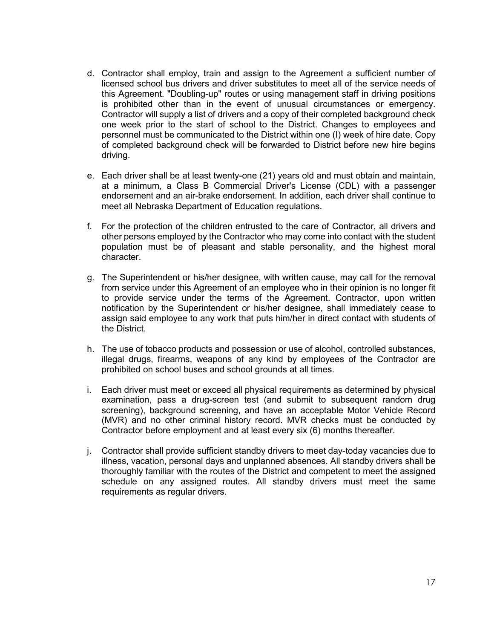- d. Contractor shall employ, train and assign to the Agreement a sufficient number of licensed school bus drivers and driver substitutes to meet all of the service needs of this Agreement. "Doubling-up" routes or using management staff in driving positions is prohibited other than in the event of unusual circumstances or emergency. Contractor will supply a list of drivers and a copy of their completed background check one week prior to the start of school to the District. Changes to employees and personnel must be communicated to the District within one (I) week of hire date. Copy of completed background check will be forwarded to District before new hire begins driving.
- e. Each driver shall be at least twenty-one (21) years old and must obtain and maintain, at a minimum, a Class B Commercial Driver's License (CDL) with a passenger endorsement and an air-brake endorsement. In addition, each driver shall continue to meet all Nebraska Department of Education regulations.
- f. For the protection of the children entrusted to the care of Contractor, all drivers and other persons employed by the Contractor who may come into contact with the student population must be of pleasant and stable personality, and the highest moral character.
- g. The Superintendent or his/her designee, with written cause, may call for the removal from service under this Agreement of an employee who in their opinion is no longer fit to provide service under the terms of the Agreement. Contractor, upon written notification by the Superintendent or his/her designee, shall immediately cease to assign said employee to any work that puts him/her in direct contact with students of the District.
- h. The use of tobacco products and possession or use of alcohol, controlled substances, illegal drugs, firearms, weapons of any kind by employees of the Contractor are prohibited on school buses and school grounds at all times.
- i. Each driver must meet or exceed all physical requirements as determined by physical examination, pass a drug-screen test (and submit to subsequent random drug screening), background screening, and have an acceptable Motor Vehicle Record (MVR) and no other criminal history record. MVR checks must be conducted by Contractor before employment and at least every six (6) months thereafter.
- j. Contractor shall provide sufficient standby drivers to meet day-today vacancies due to illness, vacation, personal days and unplanned absences. All standby drivers shall be thoroughly familiar with the routes of the District and competent to meet the assigned schedule on any assigned routes. All standby drivers must meet the same requirements as regular drivers.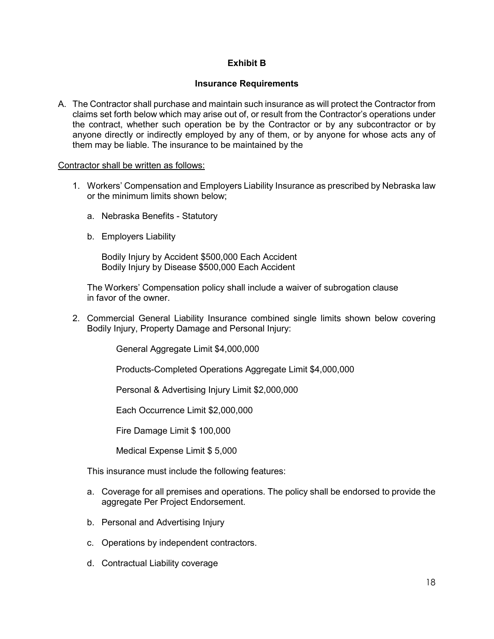# **Exhibit B**

#### **Insurance Requirements**

A. The Contractor shall purchase and maintain such insurance as will protect the Contractor from claims set forth below which may arise out of, or result from the Contractor's operations under the contract, whether such operation be by the Contractor or by any subcontractor or by anyone directly or indirectly employed by any of them, or by anyone for whose acts any of them may be liable. The insurance to be maintained by the

#### Contractor shall be written as follows:

- 1. Workers' Compensation and Employers Liability Insurance as prescribed by Nebraska law or the minimum limits shown below;
	- a. Nebraska Benefits Statutory
	- b. Employers Liability

Bodily Injury by Accident \$500,000 Each Accident Bodily Injury by Disease \$500,000 Each Accident

The Workers' Compensation policy shall include a waiver of subrogation clause in favor of the owner.

2. Commercial General Liability Insurance combined single limits shown below covering Bodily Injury, Property Damage and Personal Injury:

General Aggregate Limit \$4,000,000

Products-Completed Operations Aggregate Limit \$4,000,000

Personal & Advertising Injury Limit \$2,000,000

Each Occurrence Limit \$2,000,000

Fire Damage Limit \$ 100,000

Medical Expense Limit \$ 5,000

This insurance must include the following features:

- a. Coverage for all premises and operations. The policy shall be endorsed to provide the aggregate Per Project Endorsement.
- b. Personal and Advertising Injury
- c. Operations by independent contractors.
- d. Contractual Liability coverage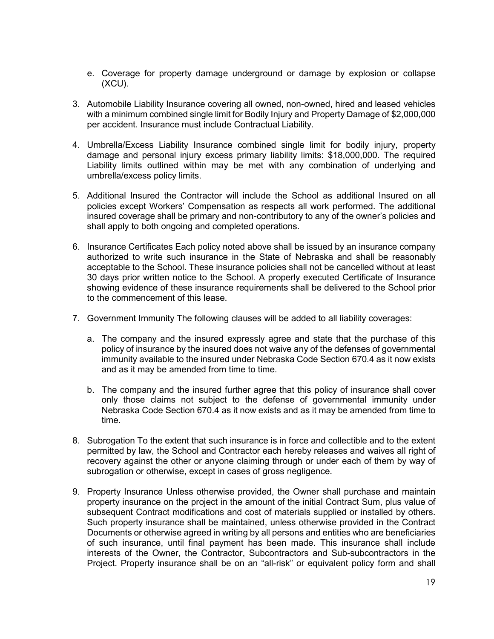- e. Coverage for property damage underground or damage by explosion or collapse (XCU).
- 3. Automobile Liability Insurance covering all owned, non-owned, hired and leased vehicles with a minimum combined single limit for Bodily Injury and Property Damage of \$2,000,000 per accident. Insurance must include Contractual Liability.
- 4. Umbrella/Excess Liability Insurance combined single limit for bodily injury, property damage and personal injury excess primary liability limits: \$18,000,000. The required Liability limits outlined within may be met with any combination of underlying and umbrella/excess policy limits.
- 5. Additional Insured the Contractor will include the School as additional Insured on all policies except Workers' Compensation as respects all work performed. The additional insured coverage shall be primary and non-contributory to any of the owner's policies and shall apply to both ongoing and completed operations.
- 6. Insurance Certificates Each policy noted above shall be issued by an insurance company authorized to write such insurance in the State of Nebraska and shall be reasonably acceptable to the School. These insurance policies shall not be cancelled without at least 30 days prior written notice to the School. A properly executed Certificate of Insurance showing evidence of these insurance requirements shall be delivered to the School prior to the commencement of this lease.
- 7. Government Immunity The following clauses will be added to all liability coverages:
	- a. The company and the insured expressly agree and state that the purchase of this policy of insurance by the insured does not waive any of the defenses of governmental immunity available to the insured under Nebraska Code Section 670.4 as it now exists and as it may be amended from time to time.
	- b. The company and the insured further agree that this policy of insurance shall cover only those claims not subject to the defense of governmental immunity under Nebraska Code Section 670.4 as it now exists and as it may be amended from time to time.
- 8. Subrogation To the extent that such insurance is in force and collectible and to the extent permitted by law, the School and Contractor each hereby releases and waives all right of recovery against the other or anyone claiming through or under each of them by way of subrogation or otherwise, except in cases of gross negligence.
- 9. Property Insurance Unless otherwise provided, the Owner shall purchase and maintain property insurance on the project in the amount of the initial Contract Sum, plus value of subsequent Contract modifications and cost of materials supplied or installed by others. Such property insurance shall be maintained, unless otherwise provided in the Contract Documents or otherwise agreed in writing by all persons and entities who are beneficiaries of such insurance, until final payment has been made. This insurance shall include interests of the Owner, the Contractor, Subcontractors and Sub-subcontractors in the Project. Property insurance shall be on an "all-risk" or equivalent policy form and shall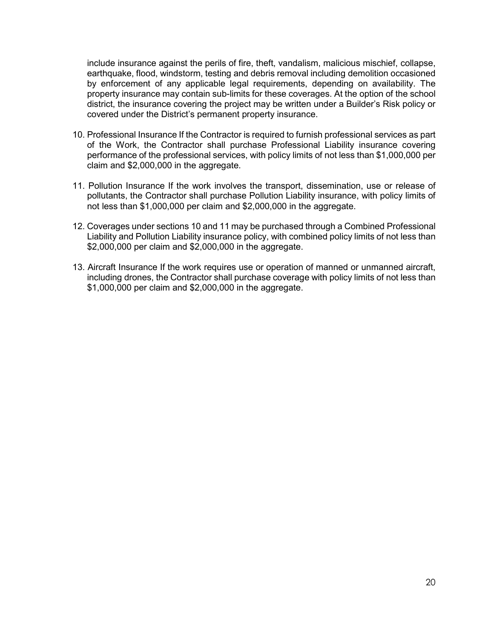include insurance against the perils of fire, theft, vandalism, malicious mischief, collapse, earthquake, flood, windstorm, testing and debris removal including demolition occasioned by enforcement of any applicable legal requirements, depending on availability. The property insurance may contain sub-limits for these coverages. At the option of the school district, the insurance covering the project may be written under a Builder's Risk policy or covered under the District's permanent property insurance.

- 10. Professional Insurance If the Contractor is required to furnish professional services as part of the Work, the Contractor shall purchase Professional Liability insurance covering performance of the professional services, with policy limits of not less than \$1,000,000 per claim and \$2,000,000 in the aggregate.
- 11. Pollution Insurance If the work involves the transport, dissemination, use or release of pollutants, the Contractor shall purchase Pollution Liability insurance, with policy limits of not less than \$1,000,000 per claim and \$2,000,000 in the aggregate.
- 12. Coverages under sections 10 and 11 may be purchased through a Combined Professional Liability and Pollution Liability insurance policy, with combined policy limits of not less than \$2,000,000 per claim and \$2,000,000 in the aggregate.
- 13. Aircraft Insurance If the work requires use or operation of manned or unmanned aircraft, including drones, the Contractor shall purchase coverage with policy limits of not less than \$1,000,000 per claim and \$2,000,000 in the aggregate.